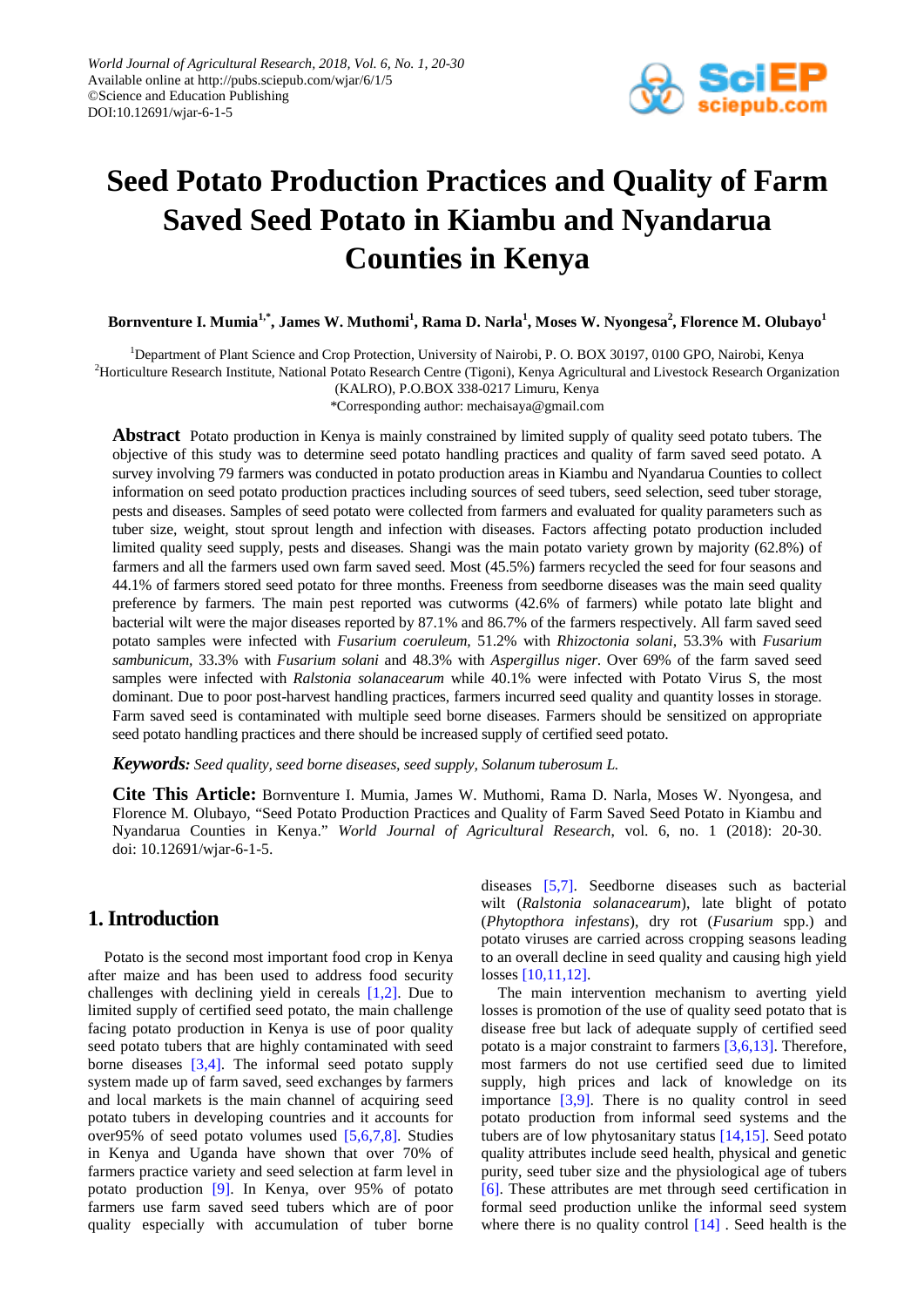

# **Seed Potato Production Practices and Quality of Farm Saved Seed Potato in Kiambu and Nyandarua Counties in Kenya**

**Bornventure I. Mumia1,\* , James W. Muthomi1 , Rama D. Narla<sup>1</sup> , Moses W. Nyongesa<sup>2</sup> , Florence M. Olubayo<sup>1</sup>**

<sup>1</sup>Department of Plant Science and Crop Protection, University of Nairobi, P. O. BOX 30197, 0100 GPO, Nairobi, Kenya <sup>2</sup>Horticulture Research Institute, National Potato Research Centre (Tigoni), Kenya Agricultural and Livestock Research Organization

(KALRO), P.O.BOX 338-0217 Limuru, Kenya

\*Corresponding author: mechaisaya@gmail.com

**Abstract** Potato production in Kenya is mainly constrained by limited supply of quality seed potato tubers. The objective of this study was to determine seed potato handling practices and quality of farm saved seed potato. A survey involving 79 farmers was conducted in potato production areas in Kiambu and Nyandarua Counties to collect information on seed potato production practices including sources of seed tubers, seed selection, seed tuber storage, pests and diseases. Samples of seed potato were collected from farmers and evaluated for quality parameters such as tuber size, weight, stout sprout length and infection with diseases. Factors affecting potato production included limited quality seed supply, pests and diseases. Shangi was the main potato variety grown by majority (62.8%) of farmers and all the farmers used own farm saved seed. Most (45.5%) farmers recycled the seed for four seasons and 44.1% of farmers stored seed potato for three months. Freeness from seedborne diseases was the main seed quality preference by farmers. The main pest reported was cutworms (42.6% of farmers) while potato late blight and bacterial wilt were the major diseases reported by 87.1% and 86.7% of the farmers respectively. All farm saved seed potato samples were infected with *Fusarium coeruleum,* 51.2% with *Rhizoctonia solani,* 53.3% with *Fusarium sambunicum,* 33.3% with *Fusarium solani* and 48.3% with *Aspergillus niger*. Over 69% of the farm saved seed samples were infected with *Ralstonia solanacearum* while 40.1% were infected with Potato Virus S, the most dominant. Due to poor post-harvest handling practices, farmers incurred seed quality and quantity losses in storage. Farm saved seed is contaminated with multiple seed borne diseases. Farmers should be sensitized on appropriate seed potato handling practices and there should be increased supply of certified seed potato.

*Keywords: Seed quality, seed borne diseases, seed supply, Solanum tuberosum L.*

**Cite This Article:** Bornventure I. Mumia, James W. Muthomi, Rama D. Narla, Moses W. Nyongesa, and Florence M. Olubayo, "Seed Potato Production Practices and Quality of Farm Saved Seed Potato in Kiambu and Nyandarua Counties in Kenya." *World Journal of Agricultural Research*, vol. 6, no. 1 (2018): 20-30. doi: 10.12691/wjar-6-1-5.

# **1.Introduction**

Potato is the second most important food crop in Kenya after maize and has been used to address food security challenges with declining yield in cereals [\[1,2\].](#page-8-0) Due to limited supply of certified seed potato, the main challenge facing potato production in Kenya is use of poor quality seed potato tubers that are highly contaminated with seed borne diseases [\[3,4\].](#page-8-1) The informal seed potato supply system made up of farm saved, seed exchanges by farmers and local markets is the main channel of acquiring seed potato tubers in developing countries and it accounts for over95% of seed potato volumes used [\[5,6,7,8\].](#page-8-2) Studies in Kenya and Uganda have shown that over 70% of farmers practice variety and seed selection at farm level in potato production [\[9\].](#page-8-3) In Kenya, over 95% of potato farmers use farm saved seed tubers which are of poor quality especially with accumulation of tuber borne diseases [\[5,7\].](#page-8-2) Seedborne diseases such as bacterial wilt (*Ralstonia solanacearum*), late blight of potato (*Phytopthora infestans*), dry rot (*Fusarium* spp.) and potato viruses are carried across cropping seasons leading to an overall decline in seed quality and causing high yield losses [\[10,11,12\].](#page-8-4)

The main intervention mechanism to averting yield losses is promotion of the use of quality seed potato that is disease free but lack of adequate supply of certified seed potato is a major constraint to farmers [\[3,6,13\].](#page-8-1) Therefore, most farmers do not use certified seed due to limited supply, high prices and lack of knowledge on its importance  $[3,9]$ . There is no quality control in seed potato production from informal seed systems and the tubers are of low phytosanitary status [\[14,15\].](#page-9-0) Seed potato quality attributes include seed health, physical and genetic purity, seed tuber size and the physiological age of tubers [\[6\].](#page-8-5) These attributes are met through seed certification in formal seed production unlike the informal seed system where there is no quality control  $[14]$ . Seed health is the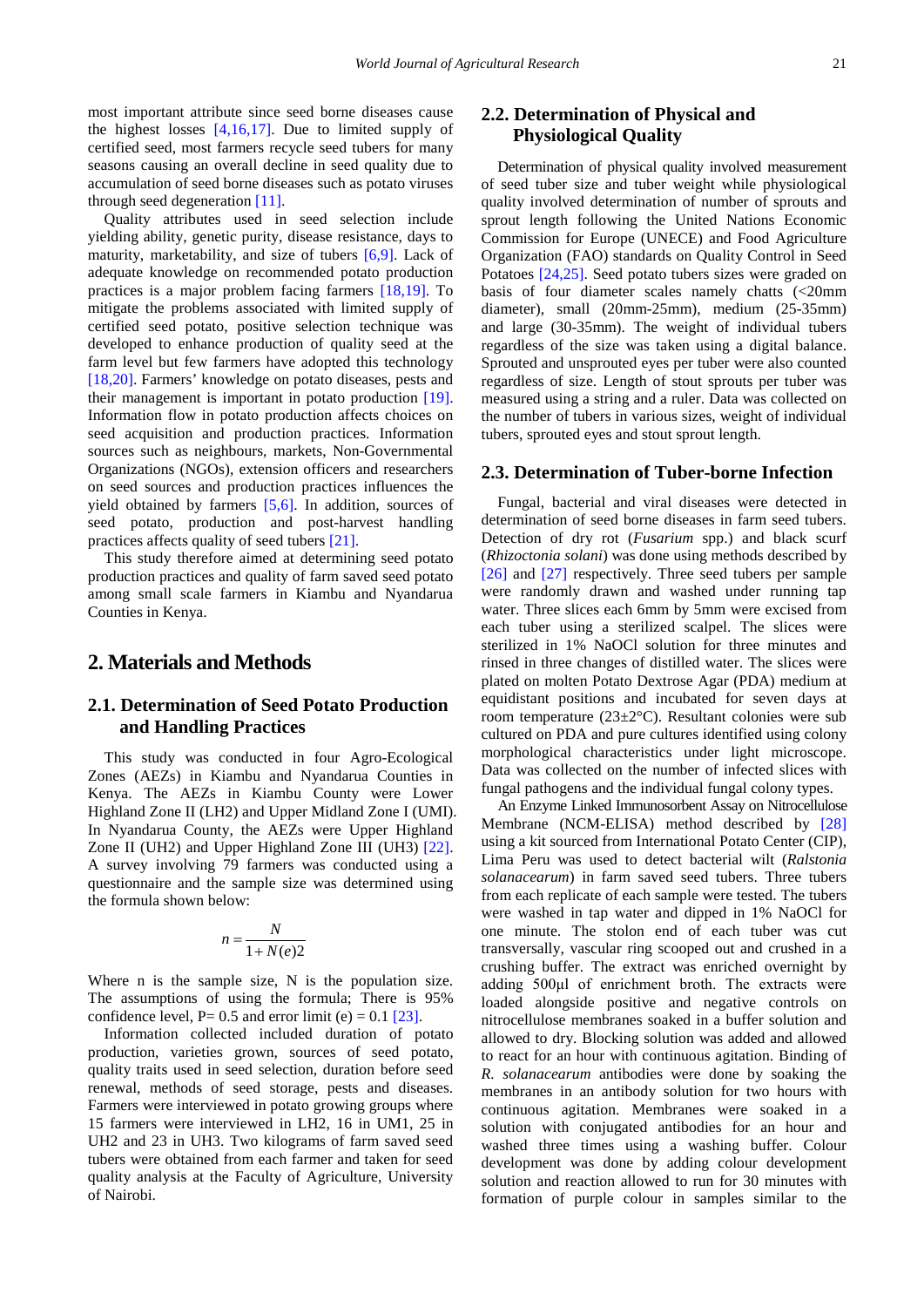most important attribute since seed borne diseases cause the highest losses  $[4,16,17]$ . Due to limited supply of certified seed, most farmers recycle seed tubers for many seasons causing an overall decline in seed quality due to accumulation of seed borne diseases such as potato viruses through seed degeneratio[n \[11\].](#page-8-7)

Quality attributes used in seed selection include yielding ability, genetic purity, disease resistance, days to maturity, marketability, and size of tubers [\[6,9\].](#page-8-5) Lack of adequate knowledge on recommended potato production practices is a major problem facing farmers [\[18,19\].](#page-9-1) To mitigate the problems associated with limited supply of certified seed potato, positive selection technique was developed to enhance production of quality seed at the farm level but few farmers have adopted this technology [\[18,20\].](#page-9-1) Farmers' knowledge on potato diseases, pests and their management is important in potato production [\[19\].](#page-9-2) Information flow in potato production affects choices on seed acquisition and production practices. Information sources such as neighbours, markets, Non-Governmental Organizations (NGOs), extension officers and researchers on seed sources and production practices influences the yield obtained by farmers [\[5,6\].](#page-8-2) In addition, sources of seed potato, production and post-harvest handling practices affects quality of seed tubers [\[21\].](#page-9-3)

This study therefore aimed at determining seed potato production practices and quality of farm saved seed potato among small scale farmers in Kiambu and Nyandarua Counties in Kenya.

# **2. Materials and Methods**

## **2.1. Determination of Seed Potato Production and Handling Practices**

This study was conducted in four Agro-Ecological Zones (AEZs) in Kiambu and Nyandarua Counties in Kenya. The AEZs in Kiambu County were Lower Highland Zone II (LH2) and Upper Midland Zone I (UMI). In Nyandarua County, the AEZs were Upper Highland Zone II (UH2) and Upper Highland Zone III (UH3) [\[22\].](#page-9-4) A survey involving 79 farmers was conducted using a questionnaire and the sample size was determined using the formula shown below:

$$
n = \frac{N}{1 + N(e)2}
$$

Where n is the sample size, N is the population size. The assumptions of using the formula; There is 95% confidence level,  $P= 0.5$  and error limit (e) = 0.1 [\[23\].](#page-9-5)

Information collected included duration of potato production, varieties grown, sources of seed potato, quality traits used in seed selection, duration before seed renewal, methods of seed storage, pests and diseases. Farmers were interviewed in potato growing groups where 15 farmers were interviewed in LH2, 16 in UM1, 25 in UH2 and 23 in UH3. Two kilograms of farm saved seed tubers were obtained from each farmer and taken for seed quality analysis at the Faculty of Agriculture, University of Nairobi.

# **2.2. Determination of Physical and Physiological Quality**

Determination of physical quality involved measurement of seed tuber size and tuber weight while physiological quality involved determination of number of sprouts and sprout length following the United Nations Economic Commission for Europe (UNECE) and Food Agriculture Organization (FAO) standards on Quality Control in Seed Potatoes [\[24,25\].](#page-9-6) Seed potato tubers sizes were graded on basis of four diameter scales namely chatts (<20mm diameter), small (20mm-25mm), medium (25-35mm) and large (30-35mm). The weight of individual tubers regardless of the size was taken using a digital balance. Sprouted and unsprouted eyes per tuber were also counted regardless of size. Length of stout sprouts per tuber was measured using a string and a ruler. Data was collected on the number of tubers in various sizes, weight of individual tubers, sprouted eyes and stout sprout length.

#### **2.3. Determination of Tuber-borne Infection**

Fungal, bacterial and viral diseases were detected in determination of seed borne diseases in farm seed tubers. Detection of dry rot (*Fusarium* spp.) and black scurf (*Rhizoctonia solani*) was done using methods described by [\[26\]](#page-9-7) and [\[27\]](#page-9-8) respectively. Three seed tubers per sample were randomly drawn and washed under running tap water. Three slices each 6mm by 5mm were excised from each tuber using a sterilized scalpel. The slices were sterilized in 1% NaOCl solution for three minutes and rinsed in three changes of distilled water. The slices were plated on molten Potato Dextrose Agar (PDA) medium at equidistant positions and incubated for seven days at room temperature (23±2°C). Resultant colonies were sub cultured on PDA and pure cultures identified using colony morphological characteristics under light microscope. Data was collected on the number of infected slices with fungal pathogens and the individual fungal colony types.

An Enzyme Linked Immunosorbent Assay on Nitrocellulose Membrane (NCM-ELISA) method described by [\[28\]](#page-9-9) using a kit sourced from International Potato Center (CIP), Lima Peru was used to detect bacterial wilt (*Ralstonia solanacearum*) in farm saved seed tubers. Three tubers from each replicate of each sample were tested. The tubers were washed in tap water and dipped in 1% NaOCl for one minute. The stolon end of each tuber was cut transversally, vascular ring scooped out and crushed in a crushing buffer. The extract was enriched overnight by adding 500μl of enrichment broth. The extracts were loaded alongside positive and negative controls on nitrocellulose membranes soaked in a buffer solution and allowed to dry. Blocking solution was added and allowed to react for an hour with continuous agitation. Binding of *R. solanacearum* antibodies were done by soaking the membranes in an antibody solution for two hours with continuous agitation. Membranes were soaked in a solution with conjugated antibodies for an hour and washed three times using a washing buffer. Colour development was done by adding colour development solution and reaction allowed to run for 30 minutes with formation of purple colour in samples similar to the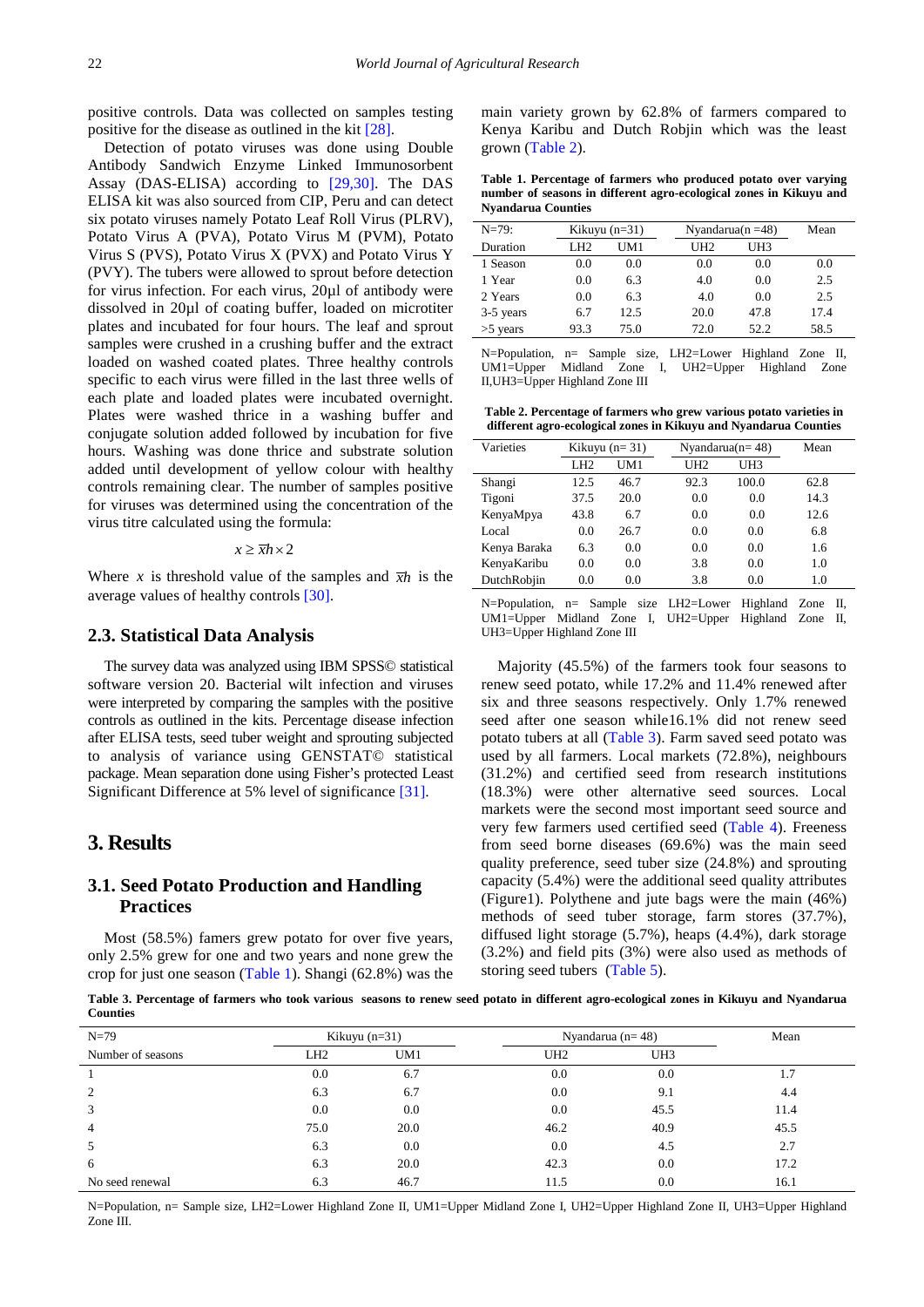positive controls. Data was collected on samples testing positive for the disease as outlined in the kit [\[28\].](#page-9-9)

Detection of potato viruses was done using Double Antibody Sandwich Enzyme Linked Immunosorbent Assay (DAS-ELISA) according to [\[29,30\].](#page-9-10) The DAS ELISA kit was also sourced from CIP, Peru and can detect six potato viruses namely Potato Leaf Roll Virus (PLRV), Potato Virus A (PVA), Potato Virus M (PVM), Potato Virus S (PVS), Potato Virus X (PVX) and Potato Virus Y (PVY). The tubers were allowed to sprout before detection for virus infection. For each virus, 20µl of antibody were dissolved in 20µl of coating buffer, loaded on microtiter plates and incubated for four hours. The leaf and sprout samples were crushed in a crushing buffer and the extract loaded on washed coated plates. Three healthy controls specific to each virus were filled in the last three wells of each plate and loaded plates were incubated overnight. Plates were washed thrice in a washing buffer and conjugate solution added followed by incubation for five hours. Washing was done thrice and substrate solution added until development of yellow colour with healthy controls remaining clear. The number of samples positive for viruses was determined using the concentration of the virus titre calculated using the formula:

 $x \geq \overline{x}h \times 2$ 

Where *x* is threshold value of the samples and  $\bar{x}h$  is the average values of healthy controls [\[30\].](#page-9-11)

#### **2.3. Statistical Data Analysis**

The survey data was analyzed using IBM SPSS© statistical software version 20. Bacterial wilt infection and viruses were interpreted by comparing the samples with the positive controls as outlined in the kits. Percentage disease infection after ELISA tests, seed tuber weight and sprouting subjected to analysis of variance using GENSTAT© statistical package. Mean separation done using Fisher's protected Least Significant Difference at 5% level of significance [\[31\].](#page-9-12)

## **3. Results**

#### **3.1. Seed Potato Production and Handling Practices**

Most (58.5%) famers grew potato for over five years, only 2.5% grew for one and two years and none grew the crop for just one season [\(Table 1\)](#page-2-0). Shangi (62.8%) was the main variety grown by 62.8% of farmers compared to Kenya Karibu and Dutch Robjin which was the least grown [\(Table 2\)](#page-2-1).

**Table 1. Percentage of farmers who produced potato over varying number of seasons in different agro-ecological zones in Kikuyu and Nyandarua Counties**

<span id="page-2-0"></span>

| $N=79$ :   |                 | Kikuyu $(n=31)$ |                 | Nyandarua $(n=48)$ | Mean |
|------------|-----------------|-----------------|-----------------|--------------------|------|
| Duration   | LH <sub>2</sub> | UM1             | UH <sub>2</sub> | UH3                |      |
| 1 Season   | 0.0             | 0.0             | 0.0             | 0.0                | 0.0  |
| 1 Year     | 0.0             | 6.3             | 4.0             | 0.0                | 2.5  |
| 2 Years    | 0.0             | 6.3             | 4.0             | 0.0                | 2.5  |
| 3-5 years  | 6.7             | 12.5            | 20.0            | 47.8               | 17.4 |
| $>5$ years | 93.3            | 75.0            | 72.0            | 52.2               | 58.5 |

N=Population, n= Sample size, LH2=Lower Highland Zone II, UM1=Upper Midland Zone I, UH2=Upper Highland Zone II,UH3=Upper Highland Zone III

**Table 2. Percentage of farmers who grew various potato varieties in different agro-ecological zones in Kikuyu and Nyandarua Counties** 

<span id="page-2-1"></span>

| Kikuyu $(n=31)$ |      |                 |       | Mean               |
|-----------------|------|-----------------|-------|--------------------|
| L <sub>H2</sub> | UM1  | UH <sub>2</sub> | UH3   |                    |
| 12.5            | 46.7 | 92.3            | 100.0 | 62.8               |
| 37.5            | 20.0 | 0.0             | 0.0   | 14.3               |
| 43.8            | 6.7  | 0.0             | 0.0   | 12.6               |
| 0.0             | 26.7 | 0.0             | 0.0   | 6.8                |
| 6.3             | 0.0  | 0.0             | 0.0   | 1.6                |
| 0.0             | 0.0  | 3.8             | 0.0   | 1.0                |
| 0.0             | 0.0  | 3.8             | 0.0   | 1.0                |
|                 |      |                 |       | Nyandarua $(n=48)$ |

N=Population, n= Sample size LH2=Lower Highland Zone II, UM1=Upper Midland Zone I, UH2=Upper Highland Zone II, UH3=Upper Highland Zone III

Majority (45.5%) of the farmers took four seasons to renew seed potato, while 17.2% and 11.4% renewed after six and three seasons respectively. Only 1.7% renewed seed after one season while16.1% did not renew seed potato tubers at all [\(Table 3\)](#page-2-2). Farm saved seed potato was used by all farmers. Local markets (72.8%), neighbours (31.2%) and certified seed from research institutions (18.3%) were other alternative seed sources. Local markets were the second most important seed source and very few farmers used certified seed [\(Table 4\)](#page-3-0). Freeness from seed borne diseases (69.6%) was the main seed quality preference, seed tuber size (24.8%) and sprouting capacity (5.4%) were the additional seed quality attributes (Figure1). Polythene and jute bags were the main (46%) methods of seed tuber storage, farm stores (37.7%), diffused light storage (5.7%), heaps (4.4%), dark storage (3.2%) and field pits (3%) were also used as methods of storing seed tubers [\(Table 5\)](#page-3-1).

**Table 3. Percentage of farmers who took various seasons to renew seed potato in different agro-ecological zones in Kikuyu and Nyandarua Counties**

<span id="page-2-2"></span>

| $N=79$            | Kikuyu $(n=31)$ |      | Nyandarua (n= $48$ ) |      | Mean |
|-------------------|-----------------|------|----------------------|------|------|
| Number of seasons | LH2             | UM1  | UH2                  | UH3  |      |
|                   | 0.0             | 6.7  | 0.0                  | 0.0  | 1.7  |
| 2                 | 6.3             | 6.7  | 0.0                  | 9.1  | 4.4  |
| 3                 | 0.0             | 0.0  | 0.0                  | 45.5 | 11.4 |
| $\overline{4}$    | 75.0            | 20.0 | 46.2                 | 40.9 | 45.5 |
| 5                 | 6.3             | 0.0  | 0.0                  | 4.5  | 2.7  |
| 6                 | 6.3             | 20.0 | 42.3                 | 0.0  | 17.2 |
| No seed renewal   | 6.3             | 46.7 | 11.5                 | 0.0  | 16.1 |

N=Population, n= Sample size, LH2=Lower Highland Zone II, UM1=Upper Midland Zone I, UH2=Upper Highland Zone II, UH3=Upper Highland Zone III.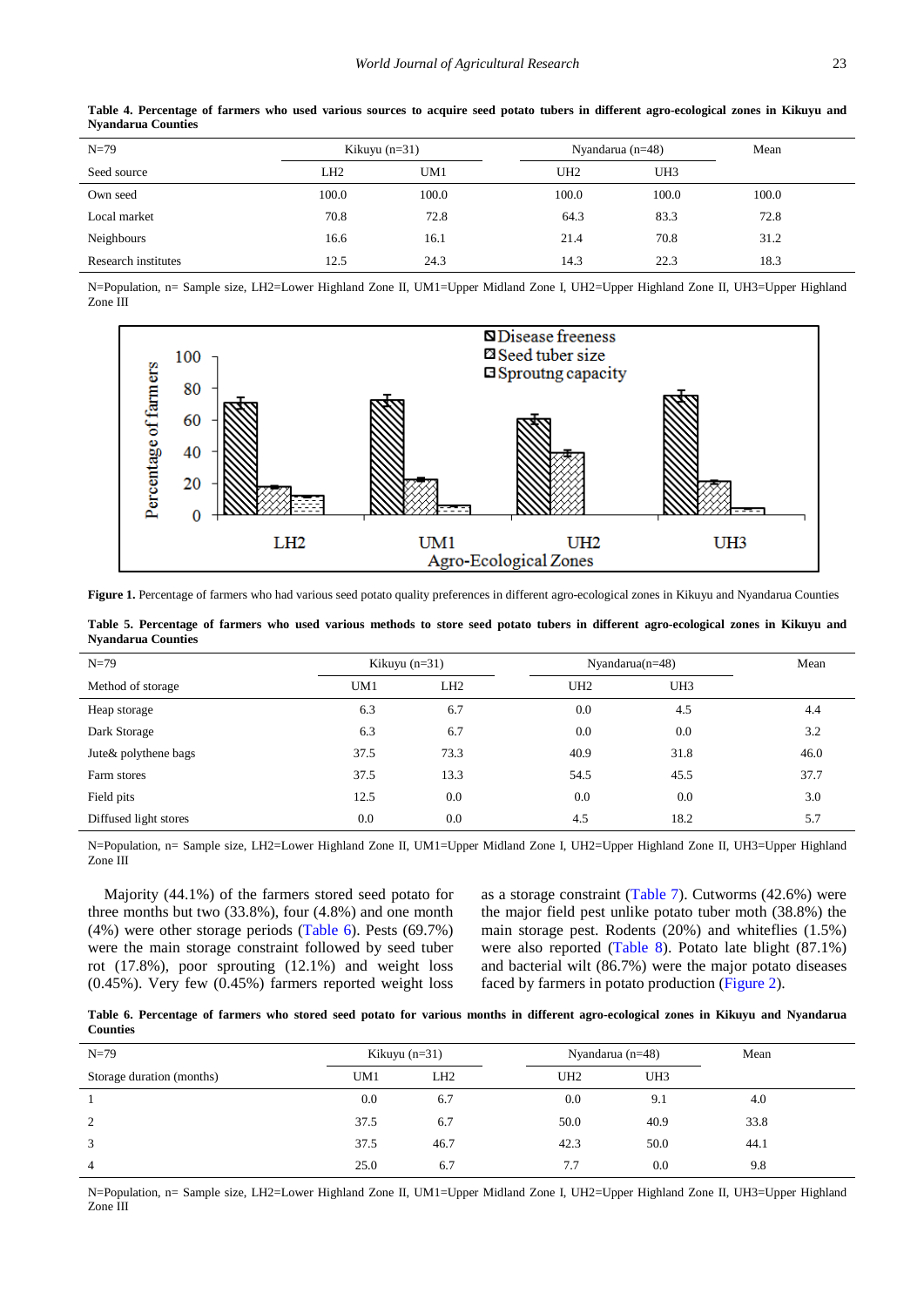<span id="page-3-0"></span>

| $N=79$              | Kikuyu $(n=31)$ |                 | Nyandarua (n=48) | Mean  |       |  |
|---------------------|-----------------|-----------------|------------------|-------|-------|--|
| Seed source         | LH2             | UM <sub>1</sub> | UH <sub>2</sub>  | UH3   |       |  |
| Own seed            | 100.0           | 100.0           | 100.0            | 100.0 | 100.0 |  |
| Local market        | 70.8            | 72.8            | 64.3             | 83.3  | 72.8  |  |
| Neighbours          | 16.6            | 16.1            | 21.4             | 70.8  | 31.2  |  |
| Research institutes | 12.5            | 24.3            | 14.3             | 22.3  | 18.3  |  |

**Table 4. Percentage of farmers who used various sources to acquire seed potato tubers in different agro-ecological zones in Kikuyu and Nyandarua Counties**

N=Population, n= Sample size, LH2=Lower Highland Zone II, UM1=Upper Midland Zone I, UH2=Upper Highland Zone II, UH3=Upper Highland Zone III



Figure 1. Percentage of farmers who had various seed potato quality preferences in different agro-ecological zones in Kikuyu and Nyandarua Counties

**Table 5. Percentage of farmers who used various methods to store seed potato tubers in different agro-ecological zones in Kikuyu and Nyandarua Counties**

<span id="page-3-1"></span>

| $N=79$                | Kikuyu $(n=31)$ |                 | Nyandarua $(n=48)$ |      | Mean |
|-----------------------|-----------------|-----------------|--------------------|------|------|
| Method of storage     | UM1             | LH <sub>2</sub> | UH <sub>2</sub>    | UH3  |      |
| Heap storage          | 6.3             | 6.7             | 0.0                | 4.5  | 4.4  |
| Dark Storage          | 6.3             | 6.7             | 0.0                | 0.0  | 3.2  |
| Jute& polythene bags  | 37.5            | 73.3            | 40.9               | 31.8 | 46.0 |
| Farm stores           | 37.5            | 13.3            | 54.5               | 45.5 | 37.7 |
| Field pits            | 12.5            | 0.0             | 0.0                | 0.0  | 3.0  |
| Diffused light stores | 0.0             | 0.0             | 4.5                | 18.2 | 5.7  |

N=Population, n= Sample size, LH2=Lower Highland Zone II, UM1=Upper Midland Zone I, UH2=Upper Highland Zone II, UH3=Upper Highland Zone III

Majority (44.1%) of the farmers stored seed potato for three months but two (33.8%), four (4.8%) and one month (4%) were other storage periods [\(Table 6\)](#page-3-2). Pests (69.7%) were the main storage constraint followed by seed tuber rot (17.8%), poor sprouting (12.1%) and weight loss (0.45%). Very few (0.45%) farmers reported weight loss as a storage constraint [\(Table 7\)](#page-4-0). Cutworms (42.6%) were the major field pest unlike potato tuber moth (38.8%) the main storage pest. Rodents (20%) and whiteflies (1.5%) were also reported [\(Table 8\)](#page-4-1). Potato late blight (87.1%) and bacterial wilt (86.7%) were the major potato diseases faced by farmers in potato production [\(Figure 2\)](#page-4-2).

|                 | Table 6. Percentage of farmers who stored seed potato for various months in different agro-ecological zones in Kikuyu and Nyandarua |  |  |  |  |  |  |  |  |
|-----------------|-------------------------------------------------------------------------------------------------------------------------------------|--|--|--|--|--|--|--|--|
| <b>Counties</b> |                                                                                                                                     |  |  |  |  |  |  |  |  |

<span id="page-3-2"></span>

| $N=79$                    | Kikuyu $(n=31)$ |                 |                 | Nyandarua (n=48) | Mean |  |
|---------------------------|-----------------|-----------------|-----------------|------------------|------|--|
| Storage duration (months) | UM <sub>1</sub> | LH <sub>2</sub> | UH <sub>2</sub> | UH3              |      |  |
|                           | 0.0             | 6.7             | 0.0             | 9.1              | 4.0  |  |
| 2                         | 37.5            | 6.7             | 50.0            | 40.9             | 33.8 |  |
| 3                         | 37.5            | 46.7            | 42.3            | 50.0             | 44.1 |  |
| $\overline{4}$            | 25.0            | 6.7             | 7.7             | 0.0              | 9.8  |  |

N=Population, n= Sample size, LH2=Lower Highland Zone II, UM1=Upper Midland Zone I, UH2=Upper Highland Zone II, UH3=Upper Highland Zone III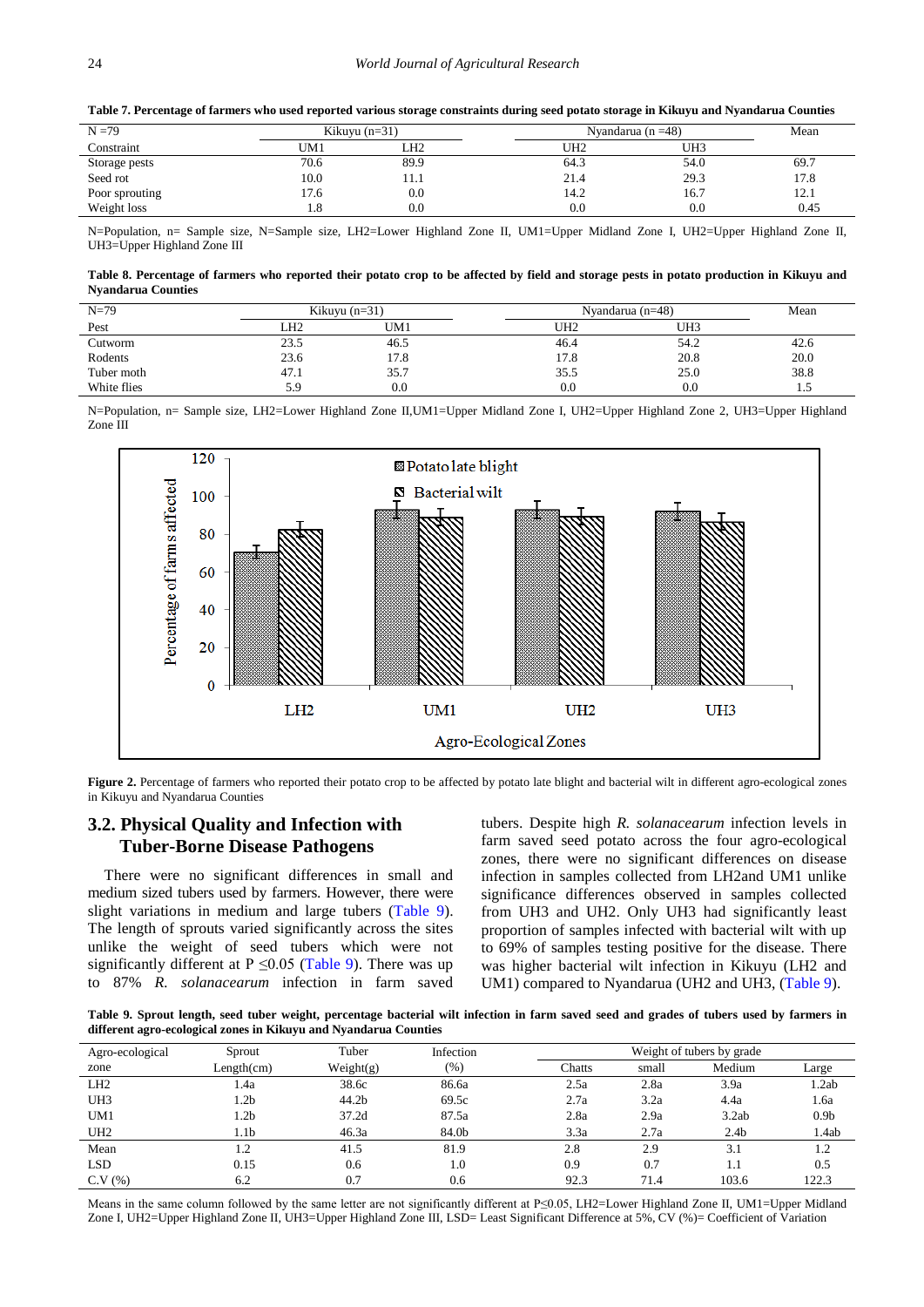<span id="page-4-0"></span>

| $N = 79$       | Kikuyu $(n=31)$ |      |      | Nyandarua (n $=48$ ) |      |  |  |
|----------------|-----------------|------|------|----------------------|------|--|--|
| Constraint     | UM1             | LH2  | UH2  | UH3                  |      |  |  |
| Storage pests  | 70.6            | 89.9 | 64.3 | 54.0                 | 69.7 |  |  |
| Seed rot       | 10.0            | 11.1 | 21.4 | 29.3                 | 17.8 |  |  |
| Poor sprouting | 17.6            | 0.0  | 14.2 | 16.7                 | 12.1 |  |  |
| Weight loss    | 1.8             | 0.0  | 0.0  | 0.0                  | 0.45 |  |  |

**Table 7. Percentage of farmers who used reported various storage constraints during seed potato storage in Kikuyu and Nyandarua Counties**

N=Population, n= Sample size, N=Sample size, LH2=Lower Highland Zone II, UM1=Upper Midland Zone I, UH2=Upper Highland Zone II, UH3=Upper Highland Zone III

| Table 8. Percentage of farmers who reported their potato crop to be affected by field and storage pests in potato production in Kikuyu and |  |
|--------------------------------------------------------------------------------------------------------------------------------------------|--|
| <b>Nyandarua Counties</b>                                                                                                                  |  |

<span id="page-4-1"></span>

| $N=79$      | Kikuyu $(n=31)$ |      | Nyandarua ( $n=48$ ) | Mean |         |
|-------------|-----------------|------|----------------------|------|---------|
| Pest        | LH2             | UM1  | UH2                  | UH3  |         |
| Cutworm     | 23.5            | 46.5 | 46.4                 | 54.2 | 42.6    |
| Rodents     | 23.6            | 17.8 | 17.8                 | 20.8 | 20.0    |
| Tuber moth  | 47.1            | 35.7 | 35.5                 | 25.0 | 38.8    |
| White flies | 5.9             | 0.0  | 0.0                  | 0.0  | $\cdot$ |

N=Population, n= Sample size, LH2=Lower Highland Zone II,UM1=Upper Midland Zone I, UH2=Upper Highland Zone 2, UH3=Upper Highland Zone III

<span id="page-4-2"></span>

Figure 2. Percentage of farmers who reported their potato crop to be affected by potato late blight and bacterial wilt in different agro-ecological zones in Kikuyu and Nyandarua Counties

# **3.2. Physical Quality and Infection with Tuber-Borne Disease Pathogens**

There were no significant differences in small and medium sized tubers used by farmers. However, there were slight variations in medium and large tubers [\(Table 9\)](#page-4-3). The length of sprouts varied significantly across the sites unlike the weight of seed tubers which were not significantly different at P  $\leq$ 0.05 [\(Table 9\)](#page-4-3). There was up to 87% *R. solanacearum* infection in farm saved tubers. Despite high *R. solanacearum* infection levels in farm saved seed potato across the four agro-ecological zones, there were no significant differences on disease infection in samples collected from LH2and UM1 unlike significance differences observed in samples collected from UH3 and UH2. Only UH3 had significantly least proportion of samples infected with bacterial wilt with up to 69% of samples testing positive for the disease. There was higher bacterial wilt infection in Kikuyu (LH2 and UM1) compared to Nyandarua (UH2 and UH3, [\(Table 9\)](#page-4-3).

**Table 9. Sprout length, seed tuber weight, percentage bacterial wilt infection in farm saved seed and grades of tubers used by farmers in different agro-ecological zones in Kikuyu and Nyandarua Counties**

<span id="page-4-3"></span>

| Agro-ecological | Tuber<br>Sprout |           | Infection |        | Weight of tubers by grade |                  |                  |  |  |  |
|-----------------|-----------------|-----------|-----------|--------|---------------------------|------------------|------------------|--|--|--|
| zone            | Length(cm)      | Weight(g) | $(\%)$    | Chatts | small                     | Medium           | Large            |  |  |  |
| LH <sub>2</sub> | 1.4a            | 38.6c     | 86.6a     | 2.5a   | 2.8a                      | 3.9a             | 1.2ab            |  |  |  |
| UH3             | 1.2b            | 44.2b     | 69.5c     | 2.7a   | 3.2a                      | 4.4a             | 1.6a             |  |  |  |
| UM1             | 1.2b            | 37.2d     | 87.5a     | 2.8a   | 2.9a                      | 3.2ab            | 0.9 <sub>b</sub> |  |  |  |
| UH <sub>2</sub> | 1.1b            | 46.3a     | 84.0b     | 3.3a   | 2.7a                      | 2.4 <sub>b</sub> | 1.4ab            |  |  |  |
| Mean            | 1.2             | 41.5      | 81.9      | 2.8    | 2.9                       | 3.1              | 1.2              |  |  |  |
| <b>LSD</b>      | 0.15            | 0.6       | 1.0       | 0.9    | 0.7                       | 1.1              | 0.5              |  |  |  |
| C.V(%)          | 6.2             | 0.7       | 0.6       | 92.3   | 71.4                      | 103.6            | 122.3            |  |  |  |

Means in the same column followed by the same letter are not significantly different at P≤0.05, LH2=Lower Highland Zone II, UM1=Upper Midland Zone I, UH2=Upper Highland Zone II, UH3=Upper Highland Zone III, LSD= Least Significant Difference at 5%, CV (%)= Coefficient of Variation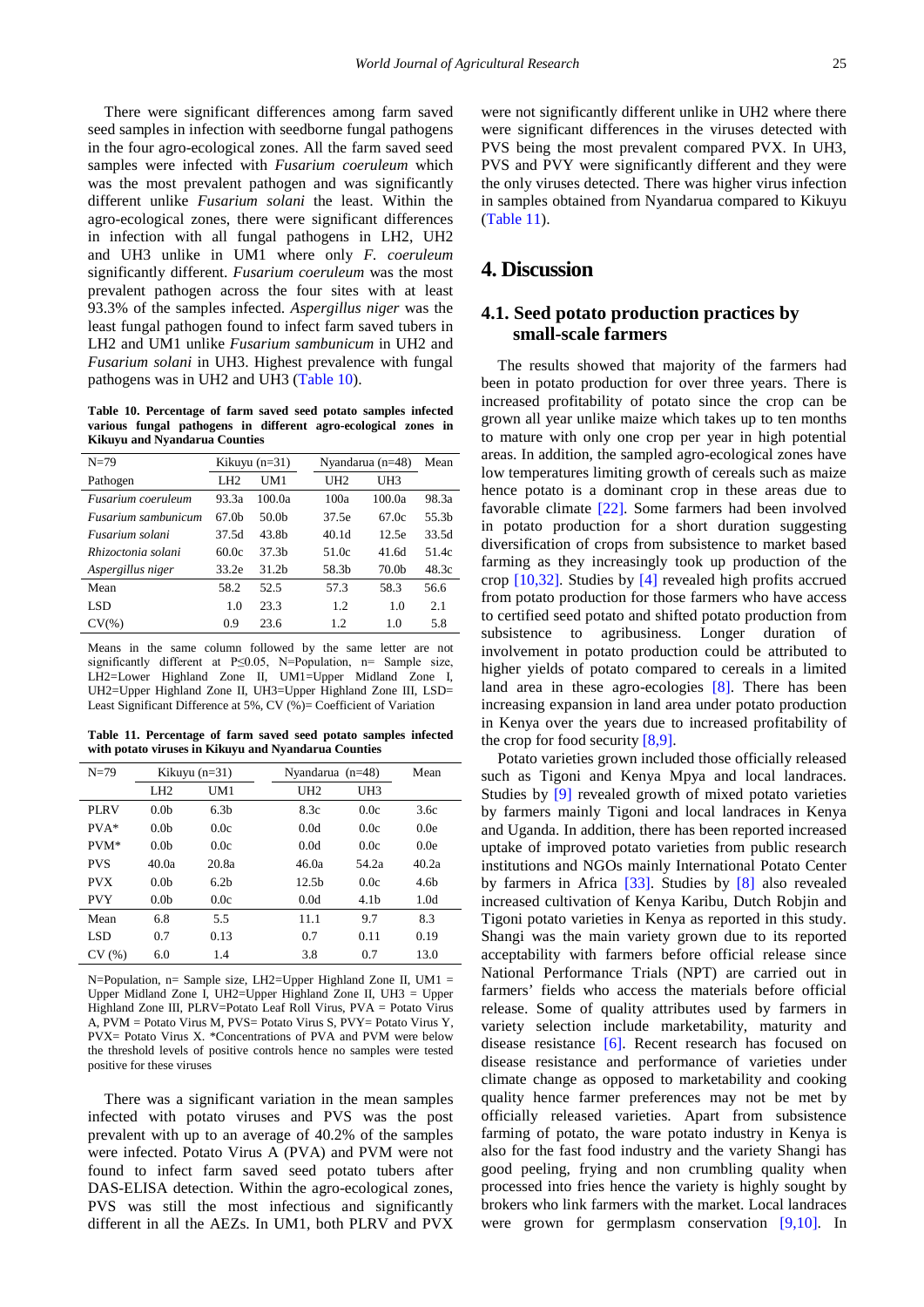There were significant differences among farm saved seed samples in infection with seedborne fungal pathogens in the four agro-ecological zones. All the farm saved seed samples were infected with *Fusarium coeruleum* which was the most prevalent pathogen and was significantly different unlike *Fusarium solani* the least. Within the agro-ecological zones, there were significant differences in infection with all fungal pathogens in LH2, UH2 and UH3 unlike in UM1 where only *F. coeruleum* significantly different. *Fusarium coeruleum* was the most prevalent pathogen across the four sites with at least 93.3% of the samples infected. *Aspergillus niger* was the least fungal pathogen found to infect farm saved tubers in LH2 and UM1 unlike *Fusarium sambunicum* in UH2 and *Fusarium solani* in UH3. Highest prevalence with fungal pathogens was in UH2 and UH3 [\(Table 10\)](#page-5-0).

**Table 10. Percentage of farm saved seed potato samples infected various fungal pathogens in different agro-ecological zones in Kikuyu and Nyandarua Counties**

<span id="page-5-0"></span>

| $N=79$              | Kikuyu $(n=31)$   |                   |                   | Nyandarua $(n=48)$ | Mean              |
|---------------------|-------------------|-------------------|-------------------|--------------------|-------------------|
| Pathogen            | L <sub>H2</sub>   | UM1               | UH <sub>2</sub>   | UH3                |                   |
| Fusarium coeruleum  | 93.3a             | 100.0a            | 100a              | 100.0a             | 98.3a             |
| Fusarium sambunicum | 67.0 <sub>b</sub> | 50.0 <sub>b</sub> | 37.5e             | 67.0c              | 55.3 <sub>b</sub> |
| Fusarium solani     | 37.5d             | 43.8b             | 40.1 <sub>d</sub> | 12.5e              | 33.5d             |
| Rhizoctonia solani  | 60.0c             | 37.3 <sub>b</sub> | 51.0c             | 41.6d              | 51.4c             |
| Aspergillus niger   | 33.2e             | 31.2 <sub>b</sub> | 58.3b             | 70.0 <sub>b</sub>  | 48.3c             |
| Mean                | 58.2              | 52.5              | 57.3              | 58.3               | 56.6              |
| LSD                 | 1.0               | 23.3              | 1.2               | 1.0                | 2.1               |
| $CV(\%)$            | 0.9               | 23.6              | 1.2.              | 1.0                | 5.8               |

Means in the same column followed by the same letter are not significantly different at P≤0.05, N=Population, n= Sample size, LH2=Lower Highland Zone II, UM1=Upper Midland Zone I, UH2=Upper Highland Zone II, UH3=Upper Highland Zone III, LSD= Least Significant Difference at 5%, CV (%)= Coefficient of Variation

**Table 11. Percentage of farm saved seed potato samples infected with potato viruses in Kikuyu and Nyandarua Counties**

<span id="page-5-1"></span>

| $N=79$      | Kikuyu $(n=31)$  |                  | Nyandarua $(n=48)$ |                   | Mean             |                  |
|-------------|------------------|------------------|--------------------|-------------------|------------------|------------------|
|             | LH <sub>2</sub>  | UM1              |                    | UH <sub>2</sub>   | UH3              |                  |
| <b>PLRV</b> | 0.0 <sub>b</sub> | 6.3 <sub>b</sub> |                    | 8.3c              | 0.0c             | 3.6c             |
| $PVA*$      | 0.0 <sub>b</sub> | 0.0c             |                    | 0.0d              | 0.0c             | 0.0e             |
| PVM*        | 0.0 <sub>b</sub> | 0.0c             |                    | 0.0d              | 0.0c             | 0.0e             |
| <b>PVS</b>  | 40.0a            | 20.8a            |                    | 46.0a             | 54.2a            | 40.2a            |
| <b>PVX</b>  | 0.0 <sub>b</sub> | 6.2 <sub>b</sub> |                    | 12.5 <sub>b</sub> | 0.0c             | 4.6 <sub>b</sub> |
| <b>PVY</b>  | 0.0 <sub>b</sub> | 0.0c             |                    | 0.0d              | 4.1 <sub>b</sub> | 1.0d             |
| Mean        | 6.8              | 5.5              |                    | 11.1              | 9.7              | 8.3              |
| <b>LSD</b>  | 0.7              | 0.13             |                    | 0.7               | 0.11             | 0.19             |
| CV(%)       | 6.0              | 1.4              |                    | 3.8               | 0.7              | 13.0             |

N=Population, n= Sample size, LH2=Upper Highland Zone II, UM1 = Upper Midland Zone I, UH2=Upper Highland Zone II, UH3 = Upper Highland Zone III, PLRV=Potato Leaf Roll Virus, PVA = Potato Virus A, PVM = Potato Virus M, PVS= Potato Virus S, PVY= Potato Virus Y, PVX= Potato Virus X. \*Concentrations of PVA and PVM were below the threshold levels of positive controls hence no samples were tested positive for these viruses

There was a significant variation in the mean samples infected with potato viruses and PVS was the post prevalent with up to an average of 40.2% of the samples were infected. Potato Virus A (PVA) and PVM were not found to infect farm saved seed potato tubers after DAS-ELISA detection. Within the agro-ecological zones, PVS was still the most infectious and significantly different in all the AEZs. In UM1, both PLRV and PVX

were not significantly different unlike in UH2 where there were significant differences in the viruses detected with PVS being the most prevalent compared PVX. In UH3, PVS and PVY were significantly different and they were the only viruses detected. There was higher virus infection in samples obtained from Nyandarua compared to Kikuyu [\(Table 11\)](#page-5-1).

# **4. Discussion**

## **4.1. Seed potato production practices by small-scale farmers**

The results showed that majority of the farmers had been in potato production for over three years. There is increased profitability of potato since the crop can be grown all year unlike maize which takes up to ten months to mature with only one crop per year in high potential areas. In addition, the sampled agro-ecological zones have low temperatures limiting growth of cereals such as maize hence potato is a dominant crop in these areas due to favorable climate [\[22\].](#page-9-4) Some farmers had been involved in potato production for a short duration suggesting diversification of crops from subsistence to market based farming as they increasingly took up production of the crop [\[10,32\].](#page-8-4) Studies by [\[4\]](#page-8-6) revealed high profits accrued from potato production for those farmers who have access to certified seed potato and shifted potato production from subsistence to agribusiness. Longer duration of involvement in potato production could be attributed to higher yields of potato compared to cereals in a limited land area in these agro-ecologies [\[8\].](#page-8-8) There has been increasing expansion in land area under potato production in Kenya over the years due to increased profitability of the crop for food security [\[8,9\].](#page-8-8)

Potato varieties grown included those officially released such as Tigoni and Kenya Mpya and local landraces. Studies by [\[9\]](#page-8-3) revealed growth of mixed potato varieties by farmers mainly Tigoni and local landraces in Kenya and Uganda. In addition, there has been reported increased uptake of improved potato varieties from public research institutions and NGOs mainly International Potato Center by farmers in Africa [\[33\].](#page-9-13) Studies by [\[8\]](#page-8-8) also revealed increased cultivation of Kenya Karibu, Dutch Robjin and Tigoni potato varieties in Kenya as reported in this study. Shangi was the main variety grown due to its reported acceptability with farmers before official release since National Performance Trials (NPT) are carried out in farmers' fields who access the materials before official release. Some of quality attributes used by farmers in variety selection include marketability, maturity and disease resistance [\[6\].](#page-8-5) Recent research has focused on disease resistance and performance of varieties under climate change as opposed to marketability and cooking quality hence farmer preferences may not be met by officially released varieties. Apart from subsistence farming of potato, the ware potato industry in Kenya is also for the fast food industry and the variety Shangi has good peeling, frying and non crumbling quality when processed into fries hence the variety is highly sought by brokers who link farmers with the market. Local landraces were grown for germplasm conservation [\[9,10\].](#page-8-3) In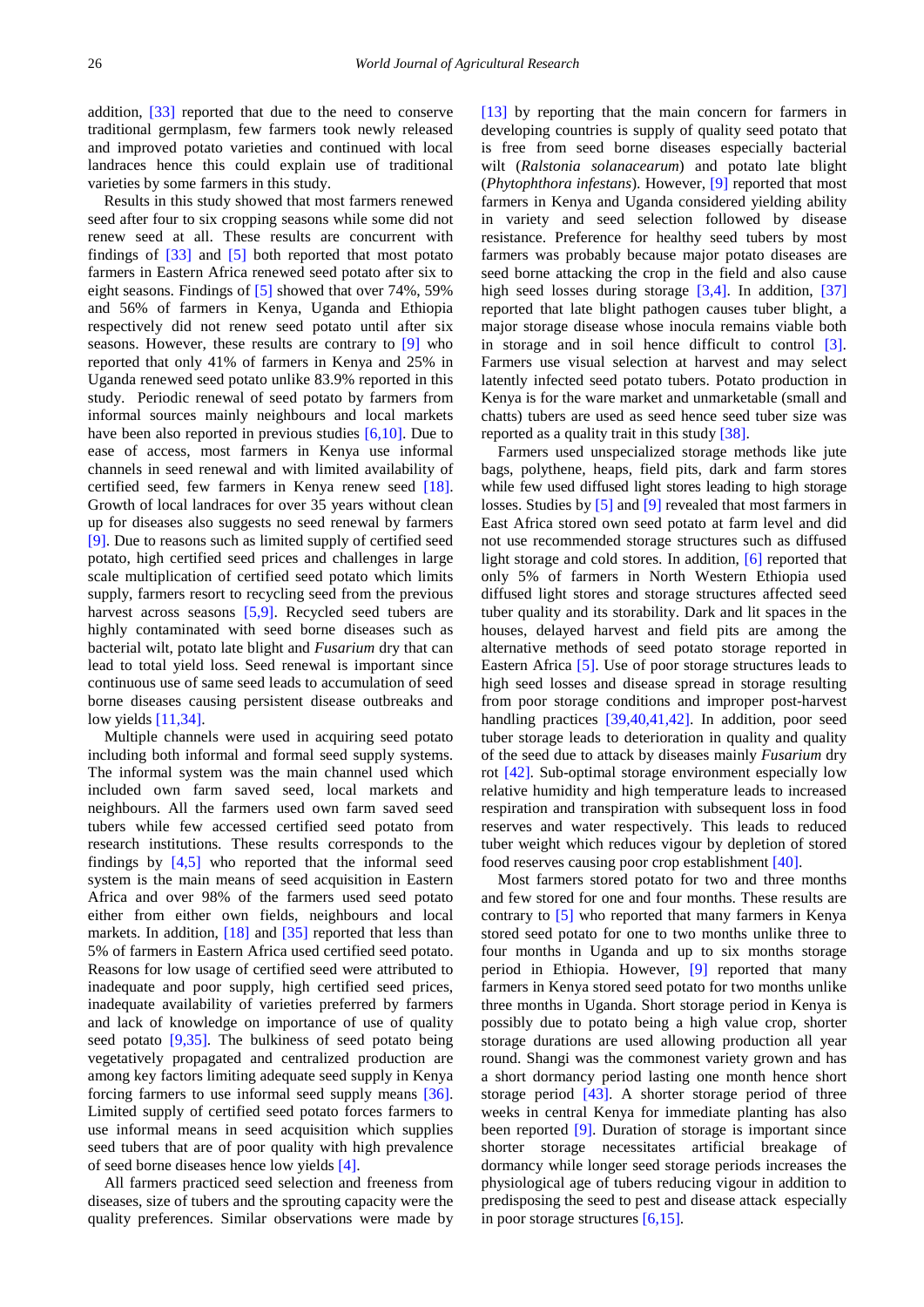addition, [\[33\]](#page-9-13) reported that due to the need to conserve traditional germplasm, few farmers took newly released and improved potato varieties and continued with local landraces hence this could explain use of traditional varieties by some farmers in this study.

Results in this study showed that most farmers renewed seed after four to six cropping seasons while some did not renew seed at all. These results are concurrent with findings of  $\left[33\right]$  and  $\left[5\right]$  both reported that most potato farmers in Eastern Africa renewed seed potato after six to eight seasons. Findings of [\[5\]](#page-8-2) showed that over 74%, 59% and 56% of farmers in Kenya, Uganda and Ethiopia respectively did not renew seed potato until after six seasons. However, these results are contrary to [\[9\]](#page-8-3) who reported that only 41% of farmers in Kenya and 25% in Uganda renewed seed potato unlike 83.9% reported in this study. Periodic renewal of seed potato by farmers from informal sources mainly neighbours and local markets have been also reported in previous studies  $[6,10]$ . Due to ease of access, most farmers in Kenya use informal channels in seed renewal and with limited availability of certified seed, few farmers in Kenya renew seed [\[18\].](#page-9-1) Growth of local landraces for over 35 years without clean up for diseases also suggests no seed renewal by farmers [\[9\].](#page-8-3) Due to reasons such as limited supply of certified seed potato, high certified seed prices and challenges in large scale multiplication of certified seed potato which limits supply, farmers resort to recycling seed from the previous harvest across seasons [\[5,9\].](#page-8-2) Recycled seed tubers are highly contaminated with seed borne diseases such as bacterial wilt, potato late blight and *Fusarium* dry that can lead to total yield loss. Seed renewal is important since continuous use of same seed leads to accumulation of seed borne diseases causing persistent disease outbreaks and low yields [\[11,34\].](#page-8-7)

Multiple channels were used in acquiring seed potato including both informal and formal seed supply systems. The informal system was the main channel used which included own farm saved seed, local markets and neighbours. All the farmers used own farm saved seed tubers while few accessed certified seed potato from research institutions. These results corresponds to the findings by [\[4,5\]](#page-8-6) who reported that the informal seed system is the main means of seed acquisition in Eastern Africa and over 98% of the farmers used seed potato either from either own fields, neighbours and local markets. In addition, [\[18\]](#page-9-1) and [\[35\]](#page-9-14) reported that less than 5% of farmers in Eastern Africa used certified seed potato. Reasons for low usage of certified seed were attributed to inadequate and poor supply, high certified seed prices, inadequate availability of varieties preferred by farmers and lack of knowledge on importance of use of quality seed potato [\[9,35\].](#page-8-3) The bulkiness of seed potato being vegetatively propagated and centralized production are among key factors limiting adequate seed supply in Kenya forcing farmers to use informal seed supply means [\[36\].](#page-9-15) Limited supply of certified seed potato forces farmers to use informal means in seed acquisition which supplies seed tubers that are of poor quality with high prevalence of seed borne diseases hence low yields [\[4\].](#page-8-6)

All farmers practiced seed selection and freeness from diseases, size of tubers and the sprouting capacity were the quality preferences. Similar observations were made by

[\[13\]](#page-9-16) by reporting that the main concern for farmers in developing countries is supply of quality seed potato that is free from seed borne diseases especially bacterial wilt (*Ralstonia solanacearum*) and potato late blight (*Phytophthora infestans*). However, [\[9\]](#page-8-3) reported that most farmers in Kenya and Uganda considered yielding ability in variety and seed selection followed by disease resistance. Preference for healthy seed tubers by most farmers was probably because major potato diseases are seed borne attacking the crop in the field and also cause high seed losses during storage  $[3,4]$ . In addition,  $[37]$ reported that late blight pathogen causes tuber blight, a major storage disease whose inocula remains viable both in storage and in soil hence difficult to control [\[3\].](#page-8-1) Farmers use visual selection at harvest and may select latently infected seed potato tubers. Potato production in Kenya is for the ware market and unmarketable (small and chatts) tubers are used as seed hence seed tuber size was reported as a quality trait in this study [\[38\].](#page-9-18)

Farmers used unspecialized storage methods like jute bags, polythene, heaps, field pits, dark and farm stores while few used diffused light stores leading to high storage losses. Studies b[y \[5\]](#page-8-2) and [\[9\]](#page-8-3) revealed that most farmers in East Africa stored own seed potato at farm level and did not use recommended storage structures such as diffused light storage and cold stores. In addition, [\[6\]](#page-8-5) reported that only 5% of farmers in North Western Ethiopia used diffused light stores and storage structures affected seed tuber quality and its storability. Dark and lit spaces in the houses, delayed harvest and field pits are among the alternative methods of seed potato storage reported in Eastern Africa [\[5\].](#page-8-2) Use of poor storage structures leads to high seed losses and disease spread in storage resulting from poor storage conditions and improper post-harvest handling practices [\[39,40,41,42\].](#page-9-19) In addition, poor seed tuber storage leads to deterioration in quality and quality of the seed due to attack by diseases mainly *Fusarium* dry rot [\[42\].](#page-9-20) Sub-optimal storage environment especially low relative humidity and high temperature leads to increased respiration and transpiration with subsequent loss in food reserves and water respectively. This leads to reduced tuber weight which reduces vigour by depletion of stored food reserves causing poor crop establishment [\[40\].](#page-9-21)

Most farmers stored potato for two and three months and few stored for one and four months. These results are contrary to [\[5\]](#page-8-2) who reported that many farmers in Kenya stored seed potato for one to two months unlike three to four months in Uganda and up to six months storage period in Ethiopia. However, [\[9\]](#page-8-3) reported that many farmers in Kenya stored seed potato for two months unlike three months in Uganda. Short storage period in Kenya is possibly due to potato being a high value crop, shorter storage durations are used allowing production all year round. Shangi was the commonest variety grown and has a short dormancy period lasting one month hence short storage period [\[43\].](#page-9-22) A shorter storage period of three weeks in central Kenya for immediate planting has also been reported [\[9\].](#page-8-3) Duration of storage is important since shorter storage necessitates artificial breakage of dormancy while longer seed storage periods increases the physiological age of tubers reducing vigour in addition to predisposing the seed to pest and disease attack especially in poor storage structures [\[6,15\].](#page-8-5)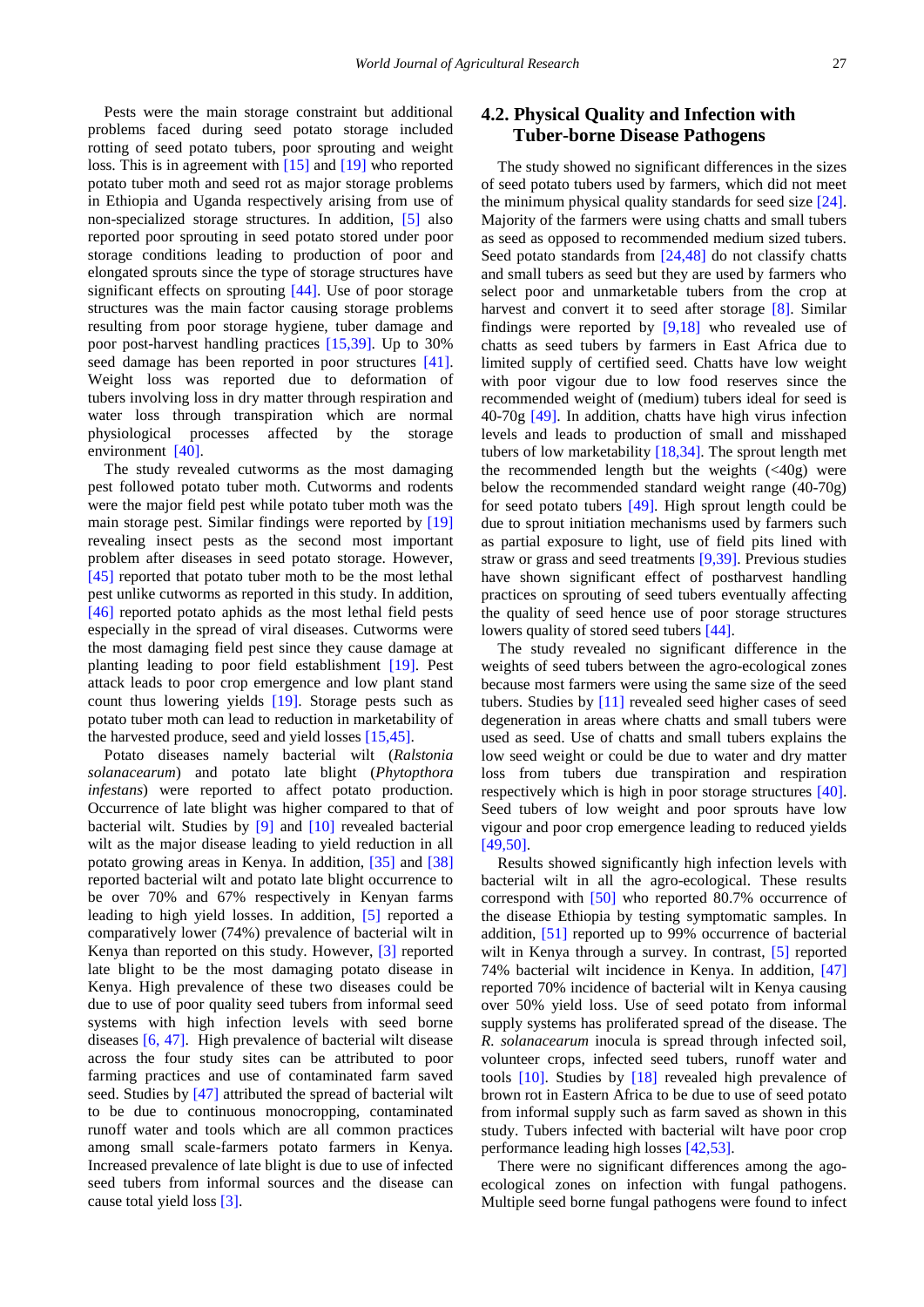Pests were the main storage constraint but additional problems faced during seed potato storage included rotting of seed potato tubers, poor sprouting and weight loss. This is in agreement with [\[15\]](#page-9-23) and [\[19\]](#page-9-2) who reported potato tuber moth and seed rot as major storage problems in Ethiopia and Uganda respectively arising from use of non-specialized storage structures. In addition, [\[5\]](#page-8-2) also reported poor sprouting in seed potato stored under poor storage conditions leading to production of poor and elongated sprouts since the type of storage structures have significant effects on sprouting [\[44\].](#page-9-24) Use of poor storage structures was the main factor causing storage problems resulting from poor storage hygiene, tuber damage and poor post-harvest handling practices [\[15,39\].](#page-9-23) Up to 30% seed damage has been reported in poor structures [\[41\].](#page-9-25) Weight loss was reported due to deformation of tubers involving loss in dry matter through respiration and water loss through transpiration which are normal physiological processes affected by the storage environment [\[40\].](#page-9-21)

The study revealed cutworms as the most damaging pest followed potato tuber moth. Cutworms and rodents were the major field pest while potato tuber moth was the main storage pest. Similar findings were reported by [\[19\]](#page-9-2) revealing insect pests as the second most important problem after diseases in seed potato storage. However, [\[45\]](#page-9-26) reported that potato tuber moth to be the most lethal pest unlike cutworms as reported in this study. In addition, [\[46\]](#page-9-27) reported potato aphids as the most lethal field pests especially in the spread of viral diseases. Cutworms were the most damaging field pest since they cause damage at planting leading to poor field establishment [\[19\].](#page-9-2) Pest attack leads to poor crop emergence and low plant stand count thus lowering yields [\[19\].](#page-9-2) Storage pests such as potato tuber moth can lead to reduction in marketability of the harvested produce, seed and yield losses [\[15,45\].](#page-9-23)

Potato diseases namely bacterial wilt (*Ralstonia solanacearum*) and potato late blight (*Phytopthora infestans*) were reported to affect potato production. Occurrence of late blight was higher compared to that of bacterial wilt. Studies by [\[9\]](#page-8-3) and [\[10\]](#page-8-4) revealed bacterial wilt as the major disease leading to yield reduction in all potato growing areas in Kenya. In addition, [\[35\]](#page-9-14) and [\[38\]](#page-9-18) reported bacterial wilt and potato late blight occurrence to be over 70% and 67% respectively in Kenyan farms leading to high yield losses. In addition, [\[5\]](#page-8-2) reported a comparatively lower (74%) prevalence of bacterial wilt in Kenya than reported on this study. However, [\[3\]](#page-8-1) reported late blight to be the most damaging potato disease in Kenya. High prevalence of these two diseases could be due to use of poor quality seed tubers from informal seed systems with high infection levels with seed borne diseases [\[6, 47\].](#page-8-5) High prevalence of bacterial wilt disease across the four study sites can be attributed to poor farming practices and use of contaminated farm saved seed. Studies by [\[47\]](#page-9-28) attributed the spread of bacterial wilt to be due to continuous monocropping, contaminated runoff water and tools which are all common practices among small scale-farmers potato farmers in Kenya. Increased prevalence of late blight is due to use of infected seed tubers from informal sources and the disease can cause total yield loss [\[3\].](#page-8-1)

# **4.2. Physical Quality and Infection with Tuber-borne Disease Pathogens**

The study showed no significant differences in the sizes of seed potato tubers used by farmers, which did not meet the minimum physical quality standards for seed size [\[24\].](#page-9-6) Majority of the farmers were using chatts and small tubers as seed as opposed to recommended medium sized tubers. Seed potato standards from [\[24,48\]](#page-9-6) do not classify chatts and small tubers as seed but they are used by farmers who select poor and unmarketable tubers from the crop at harvest and convert it to seed after storage [\[8\].](#page-8-8) Similar findings were reported by  $[9,18]$  who revealed use of chatts as seed tubers by farmers in East Africa due to limited supply of certified seed. Chatts have low weight with poor vigour due to low food reserves since the recommended weight of (medium) tubers ideal for seed is 40-70g [\[49\].](#page-9-29) In addition, chatts have high virus infection levels and leads to production of small and misshaped tubers of low marketability [\[18,34\].](#page-9-1) The sprout length met the recommended length but the weights  $( $40g$ )$  were below the recommended standard weight range (40-70g) for seed potato tubers [\[49\].](#page-9-29) High sprout length could be due to sprout initiation mechanisms used by farmers such as partial exposure to light, use of field pits lined with straw or grass and seed treatments [\[9,39\].](#page-8-3) Previous studies have shown significant effect of postharvest handling practices on sprouting of seed tubers eventually affecting the quality of seed hence use of poor storage structures lowers quality of stored seed tuber[s \[44\].](#page-9-24)

The study revealed no significant difference in the weights of seed tubers between the agro-ecological zones because most farmers were using the same size of the seed tubers. Studies by [\[11\]](#page-8-7) revealed seed higher cases of seed degeneration in areas where chatts and small tubers were used as seed. Use of chatts and small tubers explains the low seed weight or could be due to water and dry matter loss from tubers due transpiration and respiration respectively which is high in poor storage structures [\[40\].](#page-9-21) Seed tubers of low weight and poor sprouts have low vigour and poor crop emergence leading to reduced yields [\[49,50\].](#page-9-29)

Results showed significantly high infection levels with bacterial wilt in all the agro-ecological. These results correspond with [\[50\]](#page-9-30) who reported 80.7% occurrence of the disease Ethiopia by testing symptomatic samples. In addition, [\[51\]](#page-9-31) reported up to 99% occurrence of bacterial wilt in Kenya through a survey. In contrast, [\[5\]](#page-8-2) reported 74% bacterial wilt incidence in Kenya. In addition, [\[47\]](#page-9-28) reported 70% incidence of bacterial wilt in Kenya causing over 50% yield loss. Use of seed potato from informal supply systems has proliferated spread of the disease. The *R. solanacearum* inocula is spread through infected soil, volunteer crops, infected seed tubers, runoff water and tools [\[10\].](#page-8-4) Studies by [\[18\]](#page-9-1) revealed high prevalence of brown rot in Eastern Africa to be due to use of seed potato from informal supply such as farm saved as shown in this study. Tubers infected with bacterial wilt have poor crop performance leading high losses [\[42,53\].](#page-9-20)

There were no significant differences among the agoecological zones on infection with fungal pathogens. Multiple seed borne fungal pathogens were found to infect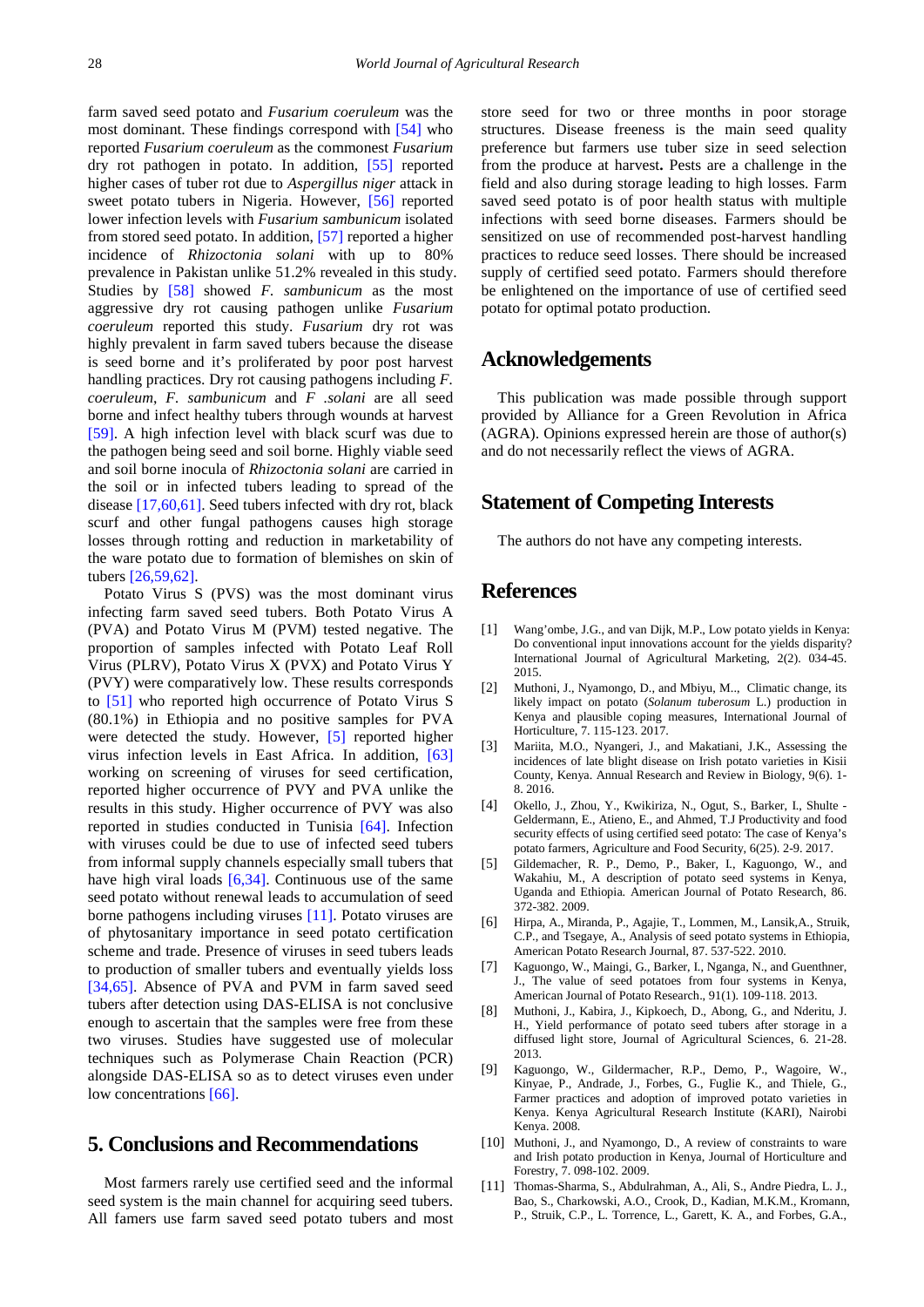farm saved seed potato and *Fusarium coeruleum* was the most dominant. These findings correspond with [\[54\]](#page-9-32) who reported *Fusarium coeruleum* as the commonest *Fusarium* dry rot pathogen in potato. In addition, [\[55\]](#page-10-0) reported higher cases of tuber rot due to *Aspergillus niger* attack in sweet potato tubers in Nigeria. However, [\[56\]](#page-10-1) reported lower infection levels with *Fusarium sambunicum* isolated from stored seed potato. In addition[, \[57\]](#page-10-2) reported a higher incidence of *Rhizoctonia solani* with up to 80% prevalence in Pakistan unlike 51.2% revealed in this study. Studies by [\[58\]](#page-10-3) showed *F. sambunicum* as the most aggressive dry rot causing pathogen unlike *Fusarium coeruleum* reported this study. *Fusarium* dry rot was highly prevalent in farm saved tubers because the disease is seed borne and it's proliferated by poor post harvest handling practices. Dry rot causing pathogens including *F. coeruleum*, *F. sambunicum* and *F .solani* are all seed borne and infect healthy tubers through wounds at harvest [\[59\].](#page-10-4) A high infection level with black scurf was due to the pathogen being seed and soil borne. Highly viable seed and soil borne inocula of *Rhizoctonia solani* are carried in the soil or in infected tubers leading to spread of the disease [\[17,60,61\].](#page-9-33) Seed tubers infected with dry rot, black scurf and other fungal pathogens causes high storage losses through rotting and reduction in marketability of the ware potato due to formation of blemishes on skin of tuber[s \[26,59,62\].](#page-9-7)

Potato Virus S (PVS) was the most dominant virus infecting farm saved seed tubers. Both Potato Virus A (PVA) and Potato Virus M (PVM) tested negative. The proportion of samples infected with Potato Leaf Roll Virus (PLRV), Potato Virus X (PVX) and Potato Virus Y (PVY) were comparatively low. These results corresponds to [\[51\]](#page-9-31) who reported high occurrence of Potato Virus S (80.1%) in Ethiopia and no positive samples for PVA were detected the study. However, [\[5\]](#page-8-2) reported higher virus infection levels in East Africa. In addition, [\[63\]](#page-10-5) working on screening of viruses for seed certification, reported higher occurrence of PVY and PVA unlike the results in this study. Higher occurrence of PVY was also reported in studies conducted in Tunisia [\[64\].](#page-10-6) Infection with viruses could be due to use of infected seed tubers from informal supply channels especially small tubers that have high viral loads [\[6,34\].](#page-8-5) Continuous use of the same seed potato without renewal leads to accumulation of seed borne pathogens including viruses [\[11\].](#page-8-7) Potato viruses are of phytosanitary importance in seed potato certification scheme and trade. Presence of viruses in seed tubers leads to production of smaller tubers and eventually yields loss [\[34,65\].](#page-9-34) Absence of PVA and PVM in farm saved seed tubers after detection using DAS-ELISA is not conclusive enough to ascertain that the samples were free from these two viruses. Studies have suggested use of molecular techniques such as Polymerase Chain Reaction (PCR) alongside DAS-ELISA so as to detect viruses even under low concentrations [\[66\].](#page-10-7)

# **5. Conclusions and Recommendations**

Most farmers rarely use certified seed and the informal seed system is the main channel for acquiring seed tubers. All famers use farm saved seed potato tubers and most store seed for two or three months in poor storage structures. Disease freeness is the main seed quality preference but farmers use tuber size in seed selection from the produce at harvest**.** Pests are a challenge in the field and also during storage leading to high losses. Farm saved seed potato is of poor health status with multiple infections with seed borne diseases. Farmers should be sensitized on use of recommended post-harvest handling practices to reduce seed losses. There should be increased supply of certified seed potato. Farmers should therefore be enlightened on the importance of use of certified seed potato for optimal potato production.

### **Acknowledgements**

This publication was made possible through support provided by Alliance for a Green Revolution in Africa (AGRA). Opinions expressed herein are those of author(s) and do not necessarily reflect the views of AGRA.

# **Statement of Competing Interests**

The authors do not have any competing interests.

## **References**

- <span id="page-8-0"></span>[1] Wang'ombe, J.G., and van Dijk, M.P., Low potato yields in Kenya: Do conventional input innovations account for the yields disparity? International Journal of Agricultural Marketing, 2(2). 034-45. 2015.
- [2] Muthoni, J., Nyamongo, D., and Mbiyu, M.., Climatic change, its likely impact on potato (*Solanum tuberosum* L.) production in Kenya and plausible coping measures, International Journal of Horticulture, 7. 115-123. 2017.
- <span id="page-8-1"></span>[3] Mariita, M.O., Nyangeri, J., and Makatiani, J.K., Assessing the incidences of late blight disease on Irish potato varieties in Kisii County, Kenya. Annual Research and Review in Biology, 9(6). 1- 8. 2016.
- <span id="page-8-6"></span>[4] Okello, J., Zhou, Y., Kwikiriza, N., Ogut, S., Barker, I., Shulte - Geldermann, E., Atieno, E., and Ahmed, T.J Productivity and food security effects of using certified seed potato: The case of Kenya's potato farmers, Agriculture and Food Security, 6(25). 2-9. 2017.
- <span id="page-8-2"></span>[5] Gildemacher, R. P., Demo, P., Baker, I., Kaguongo, W., and Wakahiu, M., A description of potato seed systems in Kenya, Uganda and Ethiopia. American Journal of Potato Research, 86. 372-382. 2009.
- <span id="page-8-5"></span>[6] Hirpa, A., Miranda, P., Agajie, T., Lommen, M., Lansik,A., Struik, C.P., and Tsegaye, A., Analysis of seed potato systems in Ethiopia, American Potato Research Journal, 87. 537-522. 2010.
- [7] Kaguongo, W., Maingi, G., Barker, I., Nganga, N., and Guenthner, J., The value of seed potatoes from four systems in Kenya, American Journal of Potato Research., 91(1). 109-118. 2013.
- <span id="page-8-8"></span>[8] Muthoni, J., Kabira, J., Kipkoech, D., Abong, G., and Nderitu, J. H., Yield performance of potato seed tubers after storage in a diffused light store, Journal of Agricultural Sciences, 6. 21-28. 2013.
- <span id="page-8-3"></span>[9] Kaguongo, W., Gildermacher, R.P., Demo, P., Wagoire, W., Kinyae, P., Andrade, J., Forbes, G., Fuglie K., and Thiele, G., Farmer practices and adoption of improved potato varieties in Kenya. Kenya Agricultural Research Institute (KARI), Nairobi Kenya. 2008.
- <span id="page-8-4"></span>[10] Muthoni, J., and Nyamongo, D., A review of constraints to ware and Irish potato production in Kenya, Journal of Horticulture and Forestry, 7. 098-102. 2009.
- <span id="page-8-7"></span>[11] Thomas-Sharma, S., Abdulrahman, A., Ali, S., Andre Piedra, L. J., Bao, S., Charkowski, A.O., Crook, D., Kadian, M.K.M., Kromann, P., Struik, C.P., L. Torrence, L., Garett, K. A., and Forbes, G.A.,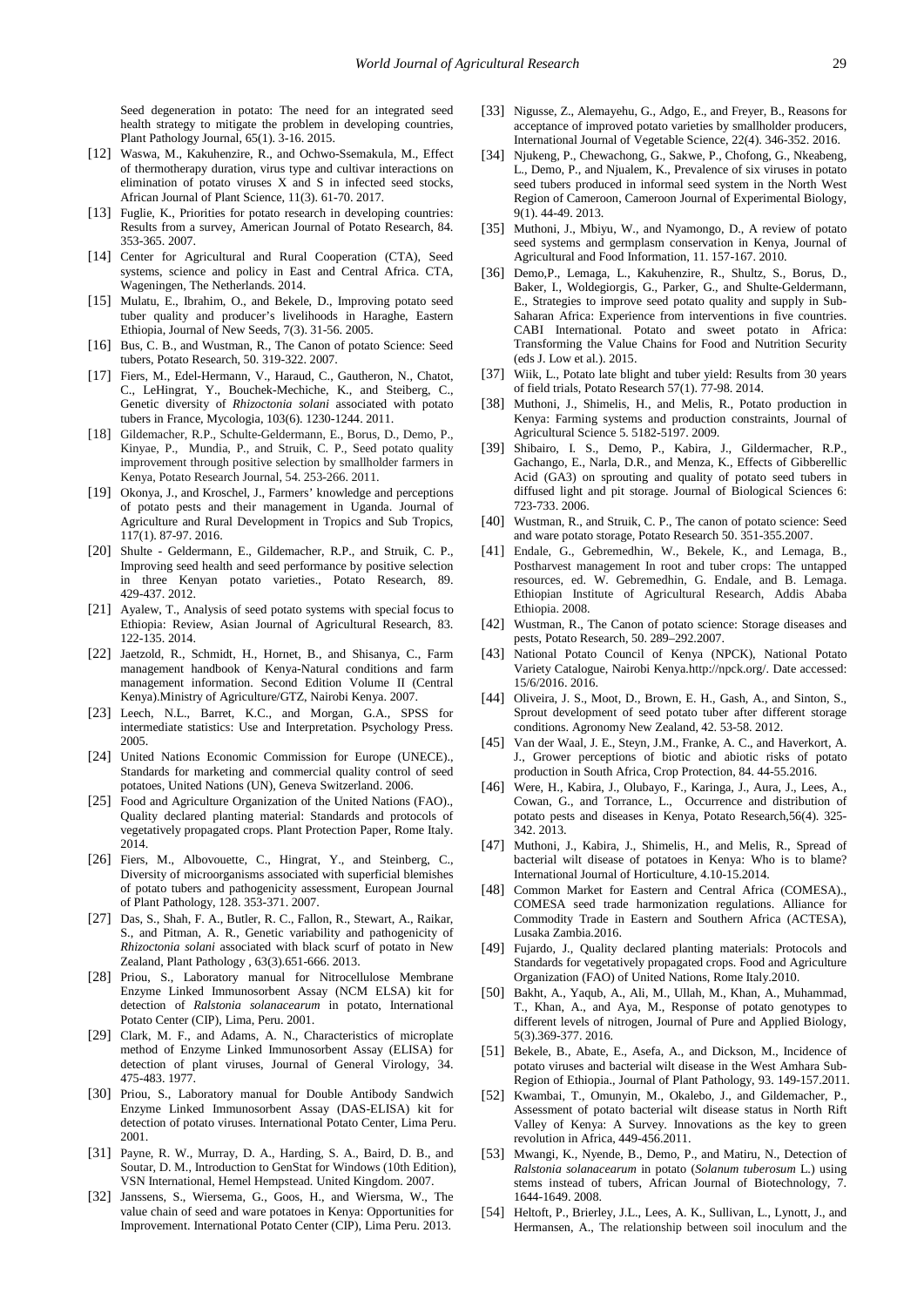Seed degeneration in potato: The need for an integrated seed health strategy to mitigate the problem in developing countries, Plant Pathology Journal, 65(1). 3-16. 2015.

- [12] Waswa, M., Kakuhenzire, R., and Ochwo-Ssemakula, M., Effect of thermotherapy duration, virus type and cultivar interactions on elimination of potato viruses X and S in infected seed stocks, African Journal of Plant Science, 11(3). 61-70. 2017.
- <span id="page-9-16"></span>[13] Fuglie, K., Priorities for potato research in developing countries: Results from a survey, American Journal of Potato Research, 84. 353-365. 2007.
- <span id="page-9-0"></span>[14] Center for Agricultural and Rural Cooperation (CTA), Seed systems, science and policy in East and Central Africa. CTA, Wageningen, The Netherlands. 2014.
- <span id="page-9-23"></span>[15] Mulatu, E., Ibrahim, O., and Bekele, D., Improving potato seed tuber quality and producer's livelihoods in Haraghe, Eastern Ethiopia, Journal of New Seeds, 7(3). 31-56. 2005.
- [16] Bus, C. B., and Wustman, R., The Canon of potato Science: Seed tubers, Potato Research, 50. 319-322. 2007.
- <span id="page-9-33"></span>[17] Fiers, M., Edel-Hermann, V., Haraud, C., Gautheron, N., Chatot, C., LeHingrat, Y., Bouchek-Mechiche, K., and Steiberg, C., Genetic diversity of *Rhizoctonia solani* associated with potato tubers in France, Mycologia, 103(6). 1230-1244. 2011.
- <span id="page-9-1"></span>[18] Gildemacher, R.P., Schulte-Geldermann, E., Borus, D., Demo, P., Kinyae, P., Mundia, P., and Struik, C. P., Seed potato quality improvement through positive selection by smallholder farmers in Kenya, Potato Research Journal, 54. 253-266. 2011.
- <span id="page-9-2"></span>[19] Okonya, J., and Kroschel, J., Farmers' knowledge and perceptions of potato pests and their management in Uganda. Journal of Agriculture and Rural Development in Tropics and Sub Tropics, 117(1). 87-97. 2016.
- [20] Shulte Geldermann, E., Gildemacher, R.P., and Struik, C. P., Improving seed health and seed performance by positive selection in three Kenyan potato varieties., Potato Research, 89. 429-437. 2012.
- <span id="page-9-3"></span>[21] Ayalew, T., Analysis of seed potato systems with special focus to Ethiopia: Review, Asian Journal of Agricultural Research, 83. 122-135. 2014.
- <span id="page-9-4"></span>[22] Jaetzold, R., Schmidt, H., Hornet, B., and Shisanya, C., Farm management handbook of Kenya-Natural conditions and farm management information. Second Edition Volume II (Central Kenya).Ministry of Agriculture/GTZ, Nairobi Kenya. 2007.
- <span id="page-9-5"></span>[23] Leech, N.L., Barret, K.C., and Morgan, G.A., SPSS for intermediate statistics: Use and Interpretation. Psychology Press. 2005.
- <span id="page-9-6"></span>[24] United Nations Economic Commission for Europe (UNECE)., Standards for marketing and commercial quality control of seed potatoes, United Nations (UN), Geneva Switzerland. 2006.
- [25] Food and Agriculture Organization of the United Nations (FAO)., Quality declared planting material: Standards and protocols of vegetatively propagated crops. Plant Protection Paper, Rome Italy. 2014.
- <span id="page-9-7"></span>[26] Fiers, M., Albovouette, C., Hingrat, Y., and Steinberg, C., Diversity of microorganisms associated with superficial blemishes of potato tubers and pathogenicity assessment, European Journal of Plant Pathology, 128. 353-371. 2007.
- <span id="page-9-8"></span>[27] Das, S., Shah, F. A., Butler, R. C., Fallon, R., Stewart, A., Raikar, S., and Pitman, A. R., Genetic variability and pathogenicity of *Rhizoctonia solani* associated with black scurf of potato in New Zealand, Plant Pathology , 63(3).651-666. 2013.
- <span id="page-9-9"></span>[28] Priou, S., Laboratory manual for Nitrocellulose Membrane Enzyme Linked Immunosorbent Assay (NCM ELSA) kit for detection of *Ralstonia solanacearum* in potato, International Potato Center (CIP), Lima, Peru. 2001.
- <span id="page-9-10"></span>[29] Clark, M. F., and Adams, A. N., Characteristics of microplate method of Enzyme Linked Immunosorbent Assay (ELISA) for detection of plant viruses, Journal of General Virology, 34. 475-483. 1977.
- <span id="page-9-11"></span>[30] Priou, S., Laboratory manual for Double Antibody Sandwich Enzyme Linked Immunosorbent Assay (DAS-ELISA) kit for detection of potato viruses. International Potato Center, Lima Peru. 2001.
- <span id="page-9-12"></span>[31] Payne, R. W., Murray, D. A., Harding, S. A., Baird, D. B., and Soutar, D. M., Introduction to GenStat for Windows (10th Edition), VSN International, Hemel Hempstead. United Kingdom. 2007.
- [32] Janssens, S., Wiersema, G., Goos, H., and Wiersma, W., The value chain of seed and ware potatoes in Kenya: Opportunities for Improvement. International Potato Center (CIP), Lima Peru. 2013.
- <span id="page-9-13"></span>[33] Nigusse, Z., Alemayehu, G., Adgo, E., and Freyer, B., Reasons for acceptance of improved potato varieties by smallholder producers, International Journal of Vegetable Science, 22(4). 346-352. 2016.
- <span id="page-9-34"></span>[34] Njukeng, P., Chewachong, G., Sakwe, P., Chofong, G., Nkeabeng, L., Demo, P., and Njualem, K., Prevalence of six viruses in potato seed tubers produced in informal seed system in the North West Region of Cameroon, Cameroon Journal of Experimental Biology, 9(1). 44-49. 2013.
- <span id="page-9-14"></span>[35] Muthoni, J., Mbiyu, W., and Nyamongo, D., A review of potato seed systems and germplasm conservation in Kenya, Journal of Agricultural and Food Information, 11. 157-167. 2010.
- <span id="page-9-15"></span>[36] Demo,P., Lemaga, L., Kakuhenzire, R., Shultz, S., Borus, D., Baker, I., Woldegiorgis, G., Parker, G., and Shulte-Geldermann, E., Strategies to improve seed potato quality and supply in Sub-Saharan Africa: Experience from interventions in five countries. CABI International. Potato and sweet potato in Africa: Transforming the Value Chains for Food and Nutrition Security (eds J. Low et al.). 2015.
- <span id="page-9-17"></span>[37] Wiik, L., Potato late blight and tuber yield: Results from 30 years of field trials, Potato Research 57(1). 77-98. 2014.
- <span id="page-9-18"></span>[38] Muthoni, J., Shimelis, H., and Melis, R., Potato production in Kenya: Farming systems and production constraints, Journal of Agricultural Science 5. 5182-5197. 2009.
- <span id="page-9-19"></span>[39] Shibairo, I. S., Demo, P., Kabira, J., Gildermacher, R.P., Gachango, E., Narla, D.R., and Menza, K., Effects of Gibberellic Acid (GA3) on sprouting and quality of potato seed tubers in diffused light and pit storage. Journal of Biological Sciences 6: 723-733. 2006.
- <span id="page-9-21"></span>[40] Wustman, R., and Struik, C. P., The canon of potato science: Seed and ware potato storage, Potato Research 50. 351-355.2007.
- <span id="page-9-25"></span>[41] Endale, G., Gebremedhin, W., Bekele, K., and Lemaga, B., Postharvest management In root and tuber crops: The untapped resources, ed. W. Gebremedhin, G. Endale, and B. Lemaga. Ethiopian Institute of Agricultural Research, Addis Ababa Ethiopia. 2008.
- <span id="page-9-20"></span>[42] Wustman, R., The Canon of potato science: Storage diseases and pests, Potato Research, 50. 289–292.2007.
- <span id="page-9-22"></span>[43] National Potato Council of Kenya (NPCK), National Potato Variety Catalogue, Nairobi Kenya.http://npck.org/. Date accessed: 15/6/2016. 2016.
- <span id="page-9-24"></span>[44] Oliveira, J. S., Moot, D., Brown, E. H., Gash, A., and Sinton, S., Sprout development of seed potato tuber after different storage conditions. Agronomy New Zealand, 42. 53-58. 2012.
- <span id="page-9-26"></span>[45] Van der Waal, J. E., Steyn, J.M., Franke, A. C., and Haverkort, A. J., Grower perceptions of biotic and abiotic risks of potato production in South Africa, Crop Protection, 84. 44-55.2016.
- <span id="page-9-27"></span>[46] Were, H., Kabira, J., Olubayo, F., Karinga, J., Aura, J., Lees, A., Cowan, G., and Torrance, L., Occurrence and distribution of potato pests and diseases in Kenya, Potato Research,56(4). 325- 342. 2013.
- <span id="page-9-28"></span>[47] Muthoni, J., Kabira, J., Shimelis, H., and Melis, R., Spread of bacterial wilt disease of potatoes in Kenya: Who is to blame? International Journal of Horticulture, 4.10-15.2014.
- [48] Common Market for Eastern and Central Africa (COMESA)., COMESA seed trade harmonization regulations. Alliance for Commodity Trade in Eastern and Southern Africa (ACTESA), Lusaka Zambia.2016.
- <span id="page-9-29"></span>[49] Fujardo, J., Quality declared planting materials: Protocols and Standards for vegetatively propagated crops. Food and Agriculture Organization (FAO) of United Nations, Rome Italy.2010.
- <span id="page-9-30"></span>[50] Bakht, A., Yaqub, A., Ali, M., Ullah, M., Khan, A., Muhammad, T., Khan, A., and Aya, M., Response of potato genotypes to different levels of nitrogen, Journal of Pure and Applied Biology, 5(3).369-377. 2016.
- <span id="page-9-31"></span>[51] Bekele, B., Abate, E., Asefa, A., and Dickson, M., Incidence of potato viruses and bacterial wilt disease in the West Amhara Sub-Region of Ethiopia., Journal of Plant Pathology, 93. 149-157.2011.
- [52] Kwambai, T., Omunyin, M., Okalebo, J., and Gildemacher, P., Assessment of potato bacterial wilt disease status in North Rift Valley of Kenya: A Survey. Innovations as the key to green revolution in Africa, 449-456.2011.
- [53] Mwangi, K., Nyende, B., Demo, P., and Matiru, N., Detection of *Ralstonia solanacearum* in potato (*Solanum tuberosum* L.) using stems instead of tubers, African Journal of Biotechnology, 7. 1644-1649. 2008.
- <span id="page-9-32"></span>[54] Heltoft, P., Brierley, J.L., Lees, A. K., Sullivan, L., Lynott, J., and Hermansen, A., The relationship between soil inoculum and the